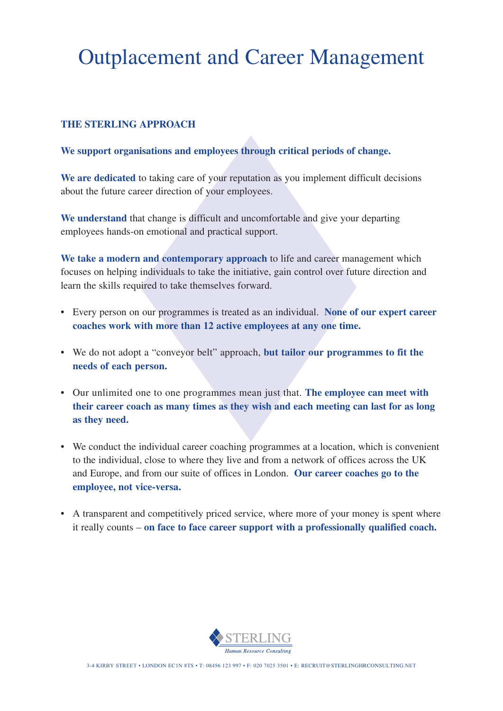# Outplacement and Career Management

### **THE STERLING APPROACH**

#### **We support organisations and employees through critical periods of change.**

We are dedicated to taking care of your reputation as you implement difficult decisions about the future career direction of your employees.

**We understand** that change is difficult and uncomfortable and give your departing employees hands-on emotional and practical support.

**We take a modern and contemporary approach** to life and career management which focuses on helping individuals to take the initiative, gain control over future direction and learn the skills required to take themselves forward.

- Every person on our programmes is treated as an individual. **None of our expert career coaches work with more than 12 active employees at any one time.**
- We do not adopt a "conveyor belt" approach, **but tailor our programmes to fit the needs of each person.**
- Our unlimited one to one programmes mean just that. **The employee can meet with their career coach as many times as they wish and each meeting can last for as long as they need.**
- We conduct the individual career coaching programmes at a location, which is convenient to the individual, close to where they live and from a network of offices across the UK and Europe, and from our suite of offices in London. **Our career coaches go to the employee, not vice-versa.**
- A transparent and competitively priced service, where more of your money is spent where it really counts – **on face to face career support with a professionally qualified coach.**



3-4 KIRBY STREET • LONDON EC1N 8TS • T: 08456 123 997 • F: 020 7025 3501 • E: RECRUIT@STERLINGHRCONSULTING.NET